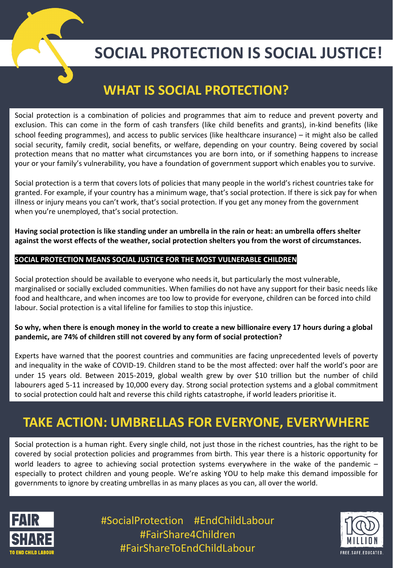

# **SOCIAL PROTECTION IS SOCIAL JUSTICE!**

## **WHAT IS SOCIAL PROTECTION?**

Social protection is a combination of policies and programmes that aim to reduce and prevent poverty and exclusion. This can come in the form of cash transfers (like child benefits and grants), in-kind benefits (like school feeding programmes), and access to public services (like healthcare insurance) – it might also be called social security, family credit, social benefits, or welfare, depending on your country. Being covered by social protection means that no matter what circumstances you are born into, or if something happens to increase your or your family's vulnerability, you have a foundation of government support which enables you to survive.

Social protection is a term that covers lots of policies that many people in the world's richest countries take for granted. For example, if your country has a minimum wage, that's social protection. If there is sick pay for when illness or injury means you can't work, that's social protection. If you get any money from the government when you're unemployed, that's social protection.

**Having social protection is like standing under an umbrella in the rain or heat: an umbrella offers shelter against the worst effects of the weather, social protection shelters you from the worst of circumstances.**

#### **SOCIAL PROTECTION MEANS SOCIAL JUSTICE FOR THE MOST VULNERABLE CHILDREN**

Social protection should be available to everyone who needs it, but particularly the most vulnerable, marginalised or socially excluded communities. When families do not have any support for their basic needs like food and healthcare, and when incomes are too low to provide for everyone, children can be forced into child labour. Social protection is a vital lifeline for families to stop this injustice.

#### **So why, when there is enough money in the world to create a new billionaire every 17 hours during a global pandemic, are 74% of children still not covered by any form of social protection?**

Experts have warned that the poorest countries and communities are facing unprecedented levels of poverty and inequality in the wake of COVID-19. Children stand to be the most affected: over half the world's poor are under 15 years old. Between 2015-2019, global wealth grew by over \$10 trillion but the number of child labourers aged 5-11 increased by 10,000 every day. Strong social protection systems and a global commitment to social protection could halt and reverse this child rights catastrophe, if world leaders prioritise it.

## **TAKE ACTION: UMBRELLAS FOR EVERYONE, EVERYWHERE**

Social protection is a human right. Every single child, not just those in the richest countries, has the right to be covered by social protection policies and programmes from birth. This year there is a historic opportunity for world leaders to agree to achieving social protection systems everywhere in the wake of the pandemic – especially to protect children and young people. We're asking YOU to help make this demand impossible for governments to ignore by creating umbrellas in as many places as you can, all over the world.



#SocialProtection #EndChildLabour #FairShare4Children #FairShareToEndChildLabour

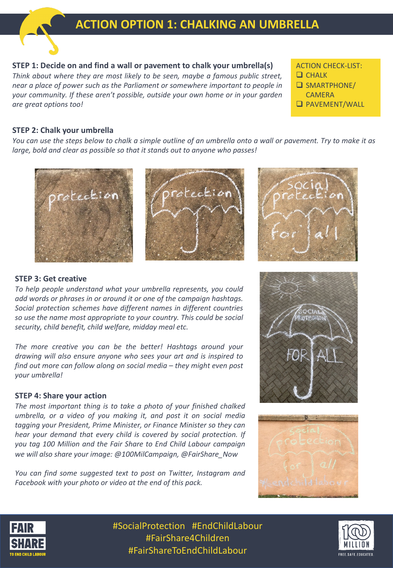### **ACTION OPTION 1: CHALKING AN UMBRELLA**

#### **STEP 1: Decide on and find a wall or pavement to chalk your umbrella(s)**

*Think about where they are most likely to be seen, maybe a famous public street, near a place of power such as the Parliament or somewhere important to people in your community. If these aren't possible, outside your own home or in your garden are great options too!*

#### ACTION CHECK-LIST:

- $\Box$  CHALK
- $\square$  SMARTPHONE/
- **CAMERA**
- **Q PAVEMENT/WALL**

#### **STEP 2: Chalk your umbrella**

You can use the steps below to chalk a simple outline of an umbrella onto a wall or pavement. Try to make it as *large, bold and clear as possible so that it stands out to anyone who passes!*





#### **STEP 3: Get creative**

*To help people understand what your umbrella represents, you could add words or phrases in or around it or one of the campaign hashtags. Social protection schemes have different names in different countries so use the name most appropriate to your country. This could be social security, child benefit, child welfare, midday meal etc.*

*The more creative you can be the better! Hashtags around your drawing will also ensure anyone who sees your art and is inspired to find out more can follow along on social media – they might even post your umbrella!*

#### **STEP 4: Share your action**

*The most important thing is to take a photo of your finished chalked umbrella, or a video of you making it, and post it on social media tagging your President, Prime Minister, or Finance Minister so they can hear your demand that every child is covered by social protection. If you tag 100 Million and the Fair Share to End Child Labour campaign we will also share your image: @100MilCampaign, @FairShare\_Now*

*You can find some suggested text to post on Twitter, Instagram and Facebook with your photo or video at the end of this pack.*







#SocialProtection #EndChildLabour #FairShare4Children #FairShareToEndChildLabour

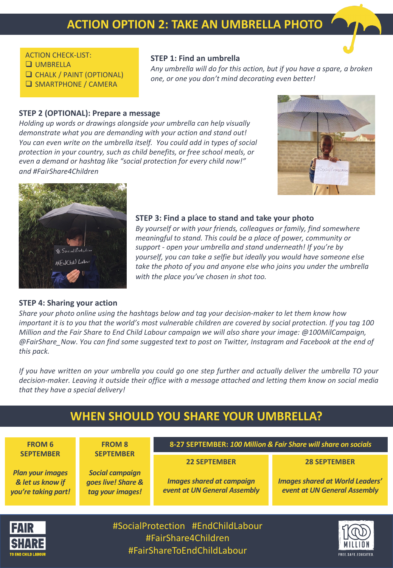#### ACTION CHECK-LIST:

- **Q** UMBRELLA
- **Q CHALK / PAINT (OPTIONAL)**
- **Q SMARTPHONE / CAMERA**

### **STEP 1: Find an umbrella**

*Any umbrella will do for this action, but if you have a spare, a broken one, or one you don't mind decorating even better!* 

#### **STEP 2 (OPTIONAL): Prepare a message**

*Holding up words or drawings alongside your umbrella can help visually demonstrate what you are demanding with your action and stand out! You can even write on the umbrella itself. You could add in types of social protection in your country, such as child benefits, or free school meals, or even a demand or hashtag like "social protection for every child now!" and #FairShare4Children*





#### **STEP 3: Find a place to stand and take your photo**

*By yourself or with your friends, colleagues or family, find somewhere meaningful to stand. This could be a place of power, community or support - open your umbrella and stand underneath! If you're by yourself, you can take a selfie but ideally you would have someone else take the photo of you and anyone else who joins you under the umbrella with the place you've chosen in shot too.*

#### **STEP 4: Sharing your action**

*Share your photo online using the hashtags below and tag your decision-maker to let them know how important it is to you that the world's most vulnerable children are covered by social protection. If you tag 100 Million and the Fair Share to End Child Labour campaign we will also share your image: @100MilCampaign, @FairShare\_Now*. *You can find some suggested text to post on Twitter, Instagram and Facebook at the end of this pack.*

If you have written on your umbrella you could go one step further and actually deliver the umbrella TO your decision-maker. Leaving it outside their office with a message attached and letting them know on social media *that they have a special delivery!*

#### #SocialProtection #EndChildLabour **WHEN SHOULD YOU SHARE YOUR UMBRELLA? FROM 6 SEPTEMBER** *Plan your images & let us know if you're taking part!* **FROM 8 SEPTEMBER** *Social campaign goes live! Share & tag your images!* **8-27 SEPTEMBER:** *100 Million & Fair Share will share on socials* **22 SEPTEMBER** *Images shared at campaign event at UN General Assembly* **28 SEPTEMBER** *Images shared at World Leaders' event at UN General Assembly*



#FairShare4Children #FairShareToEndChildLabour